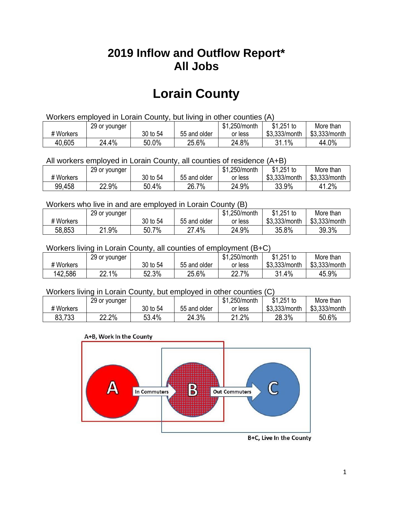## **2019 Inflow and Outflow Report\* All Jobs**

# **Lorain County**

| Workers employed in Lorain County, but living in other counties (A) |                                                           |          |              |         |               |               |  |  |  |
|---------------------------------------------------------------------|-----------------------------------------------------------|----------|--------------|---------|---------------|---------------|--|--|--|
|                                                                     | \$1.251 to<br>\$1,250/month<br>29 or younger<br>More than |          |              |         |               |               |  |  |  |
| # Workers                                                           |                                                           | 30 to 54 | 55 and older | or less | \$3.333/month | \$3,333/month |  |  |  |
| 40,605                                                              | 24.4%                                                     | 50.0%    | 25.6%        | 24.8%   | 31.1%         | 44.0%         |  |  |  |

All workers employed in Lorain County, all counties of residence (A+B)

|           | 29 or younger |          |              | \$1,250/month | $$1,251$ to   | More than     |
|-----------|---------------|----------|--------------|---------------|---------------|---------------|
| # Workers |               | 30 to 54 | 55 and older | or less       | \$3,333/month | \$3,333/month |
| 99,458    | 22.9%         | 50.4%    | 26.7%        | 24.9%         | 33.9%         | 41.2%         |

#### Workers who live in and are employed in Lorain County (B)

|           | 29 or younger |          |              | \$1,250/month | $$1,251$ to   | More than     |
|-----------|---------------|----------|--------------|---------------|---------------|---------------|
| # Workers |               | 30 to 54 | 55 and older | or less       | \$3,333/month | \$3,333/month |
| 58,853    | 21.9%         | 50.7%    | .4%<br>ົາ    | 24.9%         | 35.8%         | 39.3%         |

#### Workers living in Lorain County, all counties of employment (B+C)

|           | 29 or younger |          |              | \$1,250/month | \$1,251 to    | More than     |
|-----------|---------------|----------|--------------|---------------|---------------|---------------|
| # Workers |               | 30 to 54 | 55 and older | or less       | \$3,333/month | \$3,333/month |
| 142,586   | 22.1%         | 52.3%    | 25.6%        | 22.7%         | 31.4%         | 45.9%         |

#### Workers living in Lorain County, but employed in other counties (C)

|           | 29 or younger |          |              | \$1,250/month | $$1,251$ to   | More than     |
|-----------|---------------|----------|--------------|---------------|---------------|---------------|
| # Workers |               | 30 to 54 | 55 and older | or less       | \$3,333/month | \$3,333/month |
| 83,733    | 22.2%         | 53.4%    | 24.3%        | 21.2%         | 28.3%         | 50.6%         |

#### A+B, Work In the County